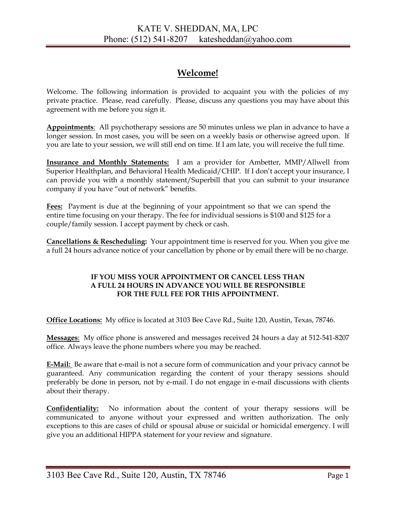## **Welcome!**

Welcome. The following information is provided to acquaint you with the policies of my private practice. Please, read carefully. Please, discuss any questions you may have about this agreement with me before you sign it.

**Appointments**: All psychotherapy sessions are 50 minutes unless we plan in advance to have a longer session. In most cases, you will be seen on a weekly basis or otherwise agreed upon. If you are late to your session, we will still end on time. If I am late, you will receive the full time.

**Insurance and Monthly Statements:** I am a provider for Ambetter, MMP/Allwell from Superior Healthplan, and Behavioral Health Medicaid/CHIP. If I don't accept your insurance, I can provide you with a monthly statement/Superbill that you can submit to your insurance company if you have "out of network" benefits.

**Fees:** Payment is due at the beginning of your appointment so that we can spend the entire time focusing on your therapy. The fee for individual sessions is \$100 and \$125 for a couple/family session. I accept payment by check or cash.

**Cancellations & Rescheduling:** Your appointment time is reserved for you. When you give me a full 24 hours advance notice of your cancellation by phone or by email there will be no charge.

### **IF YOU MISS YOUR APPOINTMENT OR CANCEL LESS THAN A FULL 24 HOURS IN ADVANCE YOU WILL BE RESPONSIBLE FOR THE FULL FEE FOR THIS APPOINTMENT.**

**Office Locations:** My office is located at 3103 Bee Cave Rd., Suite 120, Austin, Texas, 78746.

**Messages**: My office phone is answered and messages received 24 hours a day at 512-541-8207 office. Always leave the phone numbers where you may be reached.

**E-Mail:** Be aware that e-mail is not a secure form of communication and your privacy cannot be guaranteed. Any communication regarding the content of your therapy sessions should preferably be done in person, not by e-mail. I do not engage in e-mail discussions with clients about their therapy.

**Confidentiality:** No information about the content of your therapy sessions will be communicated to anyone without your expressed and written authorization. The only exceptions to this are cases of child or spousal abuse or suicidal or homicidal emergency. I will give you an additional HIPPA statement for your review and signature.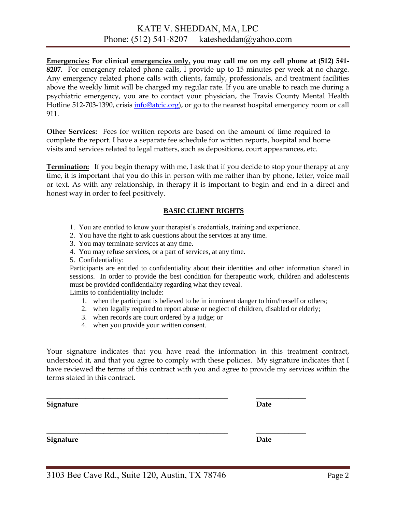**Emergencies: For clinical emergencies only, you may call me on my cell phone at (512) 541- 8207.** For emergency related phone calls, I provide up to 15 minutes per week at no charge. Any emergency related phone calls with clients, family, professionals, and treatment facilities above the weekly limit will be charged my regular rate. If you are unable to reach me during a psychiatric emergency, you are to contact your physician, the Travis County Mental Health Hotline 512-703-1390, crisis [info@atcic.org\)](mailto:info@atcic.org), or go to the nearest hospital emergency room or call 911.

**Other Services:** Fees for written reports are based on the amount of time required to complete the report. I have a separate fee schedule for written reports, hospital and home visits and services related to legal matters, such as depositions, court appearances, etc.

**Termination:** If you begin therapy with me, I ask that if you decide to stop your therapy at any time, it is important that you do this in person with me rather than by phone, letter, voice mail or text. As with any relationship, in therapy it is important to begin and end in a direct and honest way in order to feel positively.

### **BASIC CLIENT RIGHTS**

- 1. You are entitled to know your therapist's credentials, training and experience.
- 2. You have the right to ask questions about the services at any time.
- 3. You may terminate services at any time.
- 4. You may refuse services, or a part of services, at any time.
- 5. Confidentiality:

Participants are entitled to confidentiality about their identities and other information shared in sessions. In order to provide the best condition for therapeutic work, children and adolescents must be provided confidentiality regarding what they reveal.

Limits to confidentiality include:

- 1. when the participant is believed to be in imminent danger to him/herself or others;
- 2. when legally required to report abuse or neglect of children, disabled or elderly;
- 3. when records are court ordered by a judge; or
- 4. when you provide your written consent.

Your signature indicates that you have read the information in this treatment contract, understood it, and that you agree to comply with these policies. My signature indicates that I have reviewed the terms of this contract with you and agree to provide my services within the terms stated in this contract.

\_\_\_\_\_\_\_\_\_\_\_\_\_\_\_\_\_\_\_\_\_\_\_\_\_\_\_\_\_\_\_\_\_\_\_\_\_\_\_\_\_\_\_\_\_\_\_\_\_\_\_ \_\_\_\_\_\_\_\_\_\_\_\_\_\_

\_\_\_\_\_\_\_\_\_\_\_\_\_\_\_\_\_\_\_\_\_\_\_\_\_\_\_\_\_\_\_\_\_\_\_\_\_\_\_\_\_\_\_\_\_\_\_\_\_\_\_ \_\_\_\_\_\_\_\_\_\_\_\_\_\_

**Signature** Date

Signature Date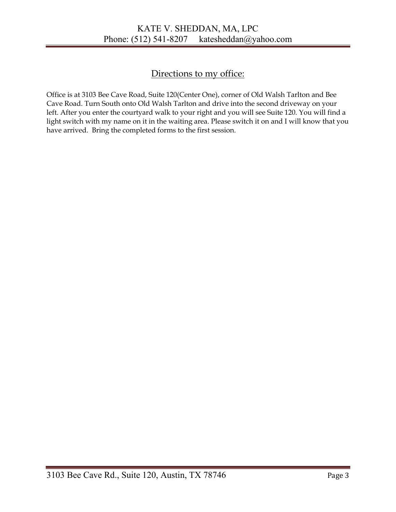# Directions to my office:

Office is at 3103 Bee Cave Road, Suite 120(Center One), corner of Old Walsh Tarlton and Bee Cave Road. Turn South onto Old Walsh Tarlton and drive into the second driveway on your left. After you enter the courtyard walk to your right and you will see Suite 120. You will find a light switch with my name on it in the waiting area. Please switch it on and I will know that you have arrived. Bring the completed forms to the first session.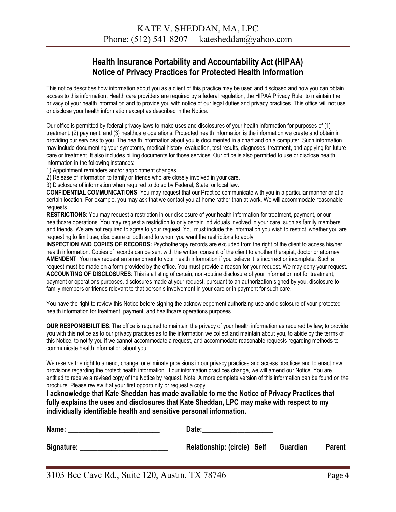## **Health Insurance Portability and Accountability Act (HIPAA) Notice of Privacy Practices for Protected Health Information**

This notice describes how information about you as a client of this practice may be used and disclosed and how you can obtain access to this information. Health care providers are required by a federal regulation, the HIPAA Privacy Rule, to maintain the privacy of your health information and to provide you with notice of our legal duties and privacy practices. This office will not use or disclose your health information except as described in the Notice.

Our office is permitted by federal privacy laws to make uses and disclosures of your health information for purposes of (1) treatment, (2) payment, and (3) healthcare operations. Protected health information is the information we create and obtain in providing our services to you. The health information about you is documented in a chart and on a computer. Such information may include documenting your symptoms, medical history, evaluation, test results, diagnoses, treatment, and applying for future care or treatment. It also includes billing documents for those services. Our office is also permitted to use or disclose health information in the following instances:

1) Appointment reminders and/or appointment changes.

2) Release of information to family or friends who are closely involved in your care.

3) Disclosure of information when required to do so by Federal, State, or local law.

**CONFIDENTIAL COMMUNICATIONS**: You may request that our Practice communicate with you in a particular manner or at a certain location. For example, you may ask that we contact you at home rather than at work. We will accommodate reasonable requests.

**RESTRICTIONS**: You may request a restriction in our disclosure of your health information for treatment, payment, or our healthcare operations. You may request a restriction to only certain individuals involved in your care, such as family members and friends. We are not required to agree to your request. You must include the information you wish to restrict, whether you are requesting to limit use, disclosure or both and to whom you want the restrictions to apply.

**INSPECTION AND COPIES OF RECORDS:** Psychotherapy records are excluded from the right of the client to access his/her health information. Copies of records can be sent with the written consent of the client to another therapist, doctor or attorney. **AMENDENT**: You may request an amendment to your health information if you believe it is incorrect or incomplete. Such a request must be made on a form provided by the office. You must provide a reason for your request. We may deny your request. **ACCOUNTING OF DISCLOSURES**: This is a listing of certain, non-routine disclosure of your information not for treatment, payment or operations purposes, disclosures made at your request, pursuant to an authorization signed by you, disclosure to family members or friends relevant to that person's involvement in your care or in payment for such care.

You have the right to review this Notice before signing the acknowledgement authorizing use and disclosure of your protected health information for treatment, payment, and healthcare operations purposes.

**OUR RESPONSIBILITIES**: The office is required to maintain the privacy of your health information as required by law; to provide you with this notice as to our privacy practices as to the information we collect and maintain about you, to abide by the terms of this Notice, to notify you if we cannot accommodate a request, and accommodate reasonable requests regarding methods to communicate health information about you.

We reserve the right to amend, change, or eliminate provisions in our privacy practices and access practices and to enact new provisions regarding the protect health information. If our information practices change, we will amend our Notice. You are entitled to receive a revised copy of the Notice by request. Note: A more complete version of this information can be found on the brochure. Please review it at your first opportunity or request a copy.

**I acknowledge that Kate Sheddan has made available to me the Notice of Privacy Practices that fully explains the uses and disclosures that Kate Sheddan, LPC may make with respect to my individually identifiable health and sensitive personal information.** 

| Name:      | Date:                       |          |               |
|------------|-----------------------------|----------|---------------|
| Signature: | Relationship: (circle) Self | Guardian | <b>Parent</b> |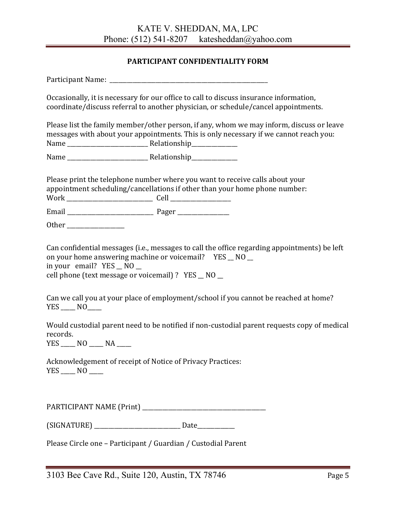### **PARTICIPANT CONFIDENTIALITY FORM**

Participant Name:

Occasionally, it is necessary for our office to call to discuss insurance information, coordinate/discuss referral to another physician, or schedule/cancel appointments.

Please list the family member/other person, if any, whom we may inform, discuss or leave messages with about your appointments. This is only necessary if we cannot reach you: Name \_\_\_\_\_\_\_\_\_\_\_\_\_\_\_\_\_\_\_\_\_\_\_\_\_\_\_\_ Relationship\_\_\_\_\_\_\_\_\_\_\_\_\_\_\_\_

Name Relationship

Please print the telephone number where you want to receive calls about your appointment scheduling/cancellations if other than your home phone number: Work \_\_\_\_\_\_\_\_\_\_\_\_\_\_\_\_\_\_\_\_\_\_\_\_\_\_\_\_\_\_ Cell \_\_\_\_\_\_\_\_\_\_\_\_\_\_\_\_\_\_\_\_\_

Email \_\_\_\_\_\_\_\_\_\_\_\_\_\_\_\_\_\_\_\_\_\_\_\_\_\_\_\_\_\_ Pager \_\_\_\_\_\_\_\_\_\_\_\_\_\_\_\_\_\_

Other \_\_\_\_\_\_\_\_\_\_\_\_\_\_\_\_\_\_\_\_

Can confidential messages (i.e., messages to call the office regarding appointments) be left on your home answering machine or voicemail? YES NO in your email?  $YES \_ NO \_$ 

cell phone (text message or voicemail) ? YES \_\_ NO \_\_

Can we call you at your place of employment/school if you cannot be reached at home? YES NO

Would custodial parent need to be notified if non-custodial parent requests copy of medical records.

 $YES$   $NO$   $NA$   $\_$ 

Acknowledgement of receipt of Notice of Privacy Practices: YES \_\_\_\_\_ NO \_\_\_\_\_

PARTICIPANT NAME (Print)

(SIGNATURE) \_\_\_\_\_\_\_\_\_\_\_\_\_\_\_\_\_\_\_\_\_\_\_\_\_\_\_\_\_\_ Date\_\_\_\_\_\_\_\_\_\_\_\_\_

Please Circle one – Participant / Guardian / Custodial Parent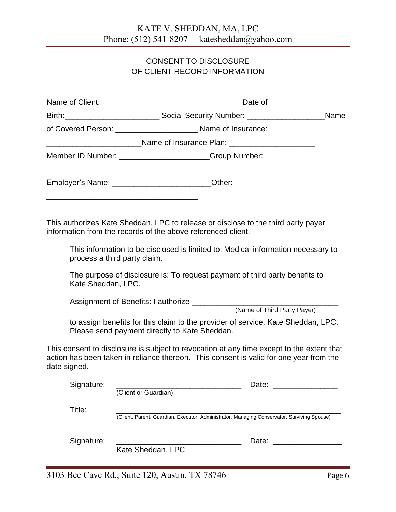### CONSENT TO DISCLOSURE OF CLIENT RECORD INFORMATION

|                    | Name                                                                                                                                                                                                                                                                                                                                                 |
|--------------------|------------------------------------------------------------------------------------------------------------------------------------------------------------------------------------------------------------------------------------------------------------------------------------------------------------------------------------------------------|
|                    | of Covered Person: _______________________________ Name of Insurance:                                                                                                                                                                                                                                                                                |
|                    | __________________________Name of Insurance Plan: ______________________________                                                                                                                                                                                                                                                                     |
|                    | Member ID Number: _______________________Group Number:                                                                                                                                                                                                                                                                                               |
|                    | Employer's Name: ________________________Other:                                                                                                                                                                                                                                                                                                      |
| Kate Sheddan, LPC. | This authorizes Kate Sheddan, LPC to release or disclose to the third party payer<br>information from the records of the above referenced client.<br>This information to be disclosed is limited to: Medical information necessary to<br>process a third party claim.<br>The purpose of disclosure is: To request payment of third party benefits to |
|                    |                                                                                                                                                                                                                                                                                                                                                      |
|                    | (Name of Third Party Payer)                                                                                                                                                                                                                                                                                                                          |
|                    | to assign benefits for this claim to the provider of service, Kate Sheddan, LPC.<br>Please send payment directly to Kate Sheddan.                                                                                                                                                                                                                    |
| date signed.       | This consent to disclosure is subject to revocation at any time except to the extent that<br>action has been taken in reliance thereon. This consent is valid for one year from the                                                                                                                                                                  |
| Signature:         | Date:<br>(Client or Guardian)                                                                                                                                                                                                                                                                                                                        |
| Title:             | (Client, Parent, Guardian, Executor, Administrator, Managing Conservator, Surviving Spouse)                                                                                                                                                                                                                                                          |
| Signature:         | Date: the contract of the contract of the contract of the contract of the contract of the contract of the contract of the contract of the contract of the contract of the contract of the contract of the contract of the cont<br>Kate Sheddan, LPC                                                                                                  |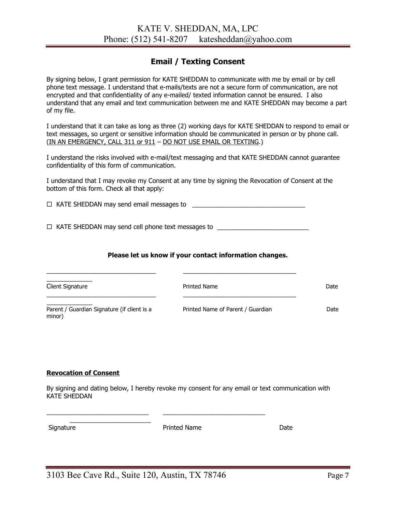### **Email / Texting Consent**

By signing below, I grant permission for KATE SHEDDAN to communicate with me by email or by cell phone text message. I understand that e-mails/texts are not a secure form of communication, are not encrypted and that confidentiality of any e-mailed/ texted information cannot be ensured. I also understand that any email and text communication between me and KATE SHEDDAN may become a part of my file.

I understand that it can take as long as three (2) working days for KATE SHEDDAN to respond to email or text messages, so urgent or sensitive information should be communicated in person or by phone call. (IN AN EMERGENCY, CALL 311 or 911 – DO NOT USE EMAIL OR TEXTING.)

I understand the risks involved with e-mail/text messaging and that KATE SHEDDAN cannot guarantee confidentiality of this form of communication.

I understand that I may revoke my Consent at any time by signing the Revocation of Consent at the bottom of this form. Check all that apply:

 $\Box$  KATE SHEDDAN may send email messages to

□ KATE SHEDDAN may send cell phone text messages to \_\_\_\_\_\_\_\_\_\_\_\_\_\_\_\_\_\_\_\_\_\_\_\_\_\_\_

\_\_\_\_\_\_\_\_\_\_\_\_\_\_\_\_\_\_\_\_\_\_\_\_\_\_\_\_\_\_\_ \_\_\_\_\_\_\_\_\_\_\_\_\_\_\_\_\_\_\_\_\_\_\_\_\_\_\_\_\_\_\_\_

### **Please let us know if your contact information changes.**

| Client Signature                                      | Printed Name                      | Date |
|-------------------------------------------------------|-----------------------------------|------|
| Parent / Guardian Signature (if client is a<br>minor) | Printed Name of Parent / Guardian | Date |

### **Revocation of Consent**

\_\_\_\_\_\_\_\_\_\_\_\_\_\_\_\_\_\_\_\_\_\_\_

By signing and dating below, I hereby revoke my consent for any email or text communication with KATE SHEDDAN

Printed Name Date

\_\_\_\_\_\_\_\_\_\_\_\_\_\_\_\_\_\_\_\_\_\_\_\_\_\_\_\_\_ \_\_\_\_\_\_\_\_\_\_\_\_\_\_\_\_\_\_\_\_\_\_\_\_\_\_\_\_\_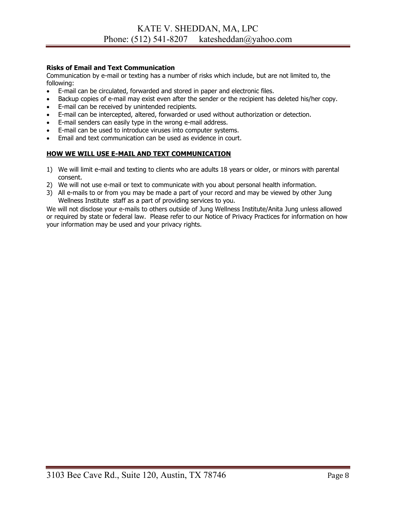### **Risks of Email and Text Communication**

Communication by e-mail or texting has a number of risks which include, but are not limited to, the following:

- E-mail can be circulated, forwarded and stored in paper and electronic files.
- Backup copies of e-mail may exist even after the sender or the recipient has deleted his/her copy.
- E-mail can be received by unintended recipients.
- E-mail can be intercepted, altered, forwarded or used without authorization or detection.
- E-mail senders can easily type in the wrong e-mail address.
- E-mail can be used to introduce viruses into computer systems.
- Email and text communication can be used as evidence in court.

### **HOW WE WILL USE E-MAIL AND TEXT COMMUNICATION**

- 1) We will limit e-mail and texting to clients who are adults 18 years or older, or minors with parental consent.
- 2) We will not use e-mail or text to communicate with you about personal health information.
- 3) All e-mails to or from you may be made a part of your record and may be viewed by other Jung Wellness Institute staff as a part of providing services to you.

We will not disclose your e-mails to others outside of Jung Wellness Institute/Anita Jung unless allowed or required by state or federal law. Please refer to our Notice of Privacy Practices for information on how your information may be used and your privacy rights.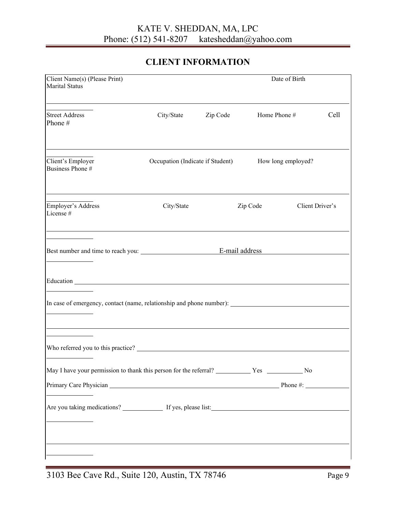# KATE V. SHEDDAN, MA, LPC<br>Phone: (512) 541-8207 katesheddan@ya katesheddan@yahoo.com

## **CLIENT INFORMATION**

| Client Name(s) (Please Print)<br>Marital Status                      |                                  |          |          |                    |                 |
|----------------------------------------------------------------------|----------------------------------|----------|----------|--------------------|-----------------|
| <b>Street Address</b><br>Phone #                                     | City/State                       | Zip Code |          | Home Phone #       | Cell            |
| Client's Employer<br>Business Phone #                                | Occupation (Indicate if Student) |          |          | How long employed? |                 |
| Employer's Address<br>License #                                      | City/State                       |          | Zip Code |                    | Client Driver's |
|                                                                      |                                  |          |          |                    |                 |
| In case of emergency, contact (name, relationship and phone number): |                                  |          |          |                    |                 |
|                                                                      |                                  |          |          |                    |                 |
|                                                                      |                                  |          |          |                    |                 |
|                                                                      |                                  |          |          |                    |                 |
| Primary Care Physician Phone #: Phone #:                             |                                  |          |          |                    |                 |
|                                                                      |                                  |          |          |                    |                 |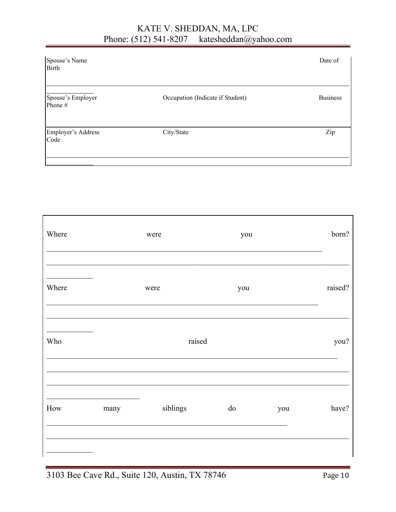#### KATE V. SHEDDAN, MA, LPC Phone: (512) 541-8207 katesheddan@yahoo.com

|                                  | Date of         |
|----------------------------------|-----------------|
| Occupation (Indicate if Student) | <b>Business</b> |
| City/State                       | Zip             |
|                                  |                 |

| Where                 |      | were     | you |     | born?   |
|-----------------------|------|----------|-----|-----|---------|
| Where                 |      | were     | you |     | raised? |
| Who                   |      | raised   |     |     | you?    |
| $\operatorname*{How}$ | many | siblings | do  | you | have?   |
|                       |      |          |     |     |         |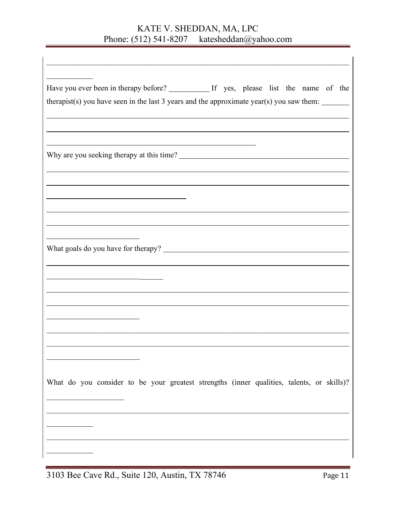# KATE V. SHEDDAN, MA, LPC<br>Phone: (512) 541-8207 katesheddan@ya katesheddan@yahoo.com

| therapist(s) you have seen in the last $3$ years and the approximate year(s) you saw them: $\frac{ }{ }$ |  |  |  |  |  |
|----------------------------------------------------------------------------------------------------------|--|--|--|--|--|
|                                                                                                          |  |  |  |  |  |
|                                                                                                          |  |  |  |  |  |
|                                                                                                          |  |  |  |  |  |
|                                                                                                          |  |  |  |  |  |
|                                                                                                          |  |  |  |  |  |
|                                                                                                          |  |  |  |  |  |
|                                                                                                          |  |  |  |  |  |
|                                                                                                          |  |  |  |  |  |
|                                                                                                          |  |  |  |  |  |
|                                                                                                          |  |  |  |  |  |
| What do you consider to be your greatest strengths (inner qualities, talents, or skills)?                |  |  |  |  |  |
|                                                                                                          |  |  |  |  |  |
|                                                                                                          |  |  |  |  |  |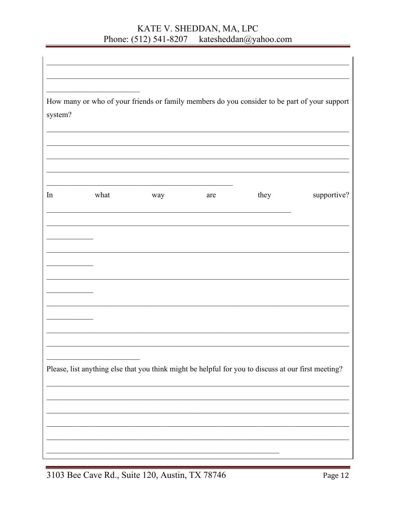#### KATE V. SHEDDAN, MA, LPC Phone: (512) 541-8207 katesheddan@yahoo.com

| system? |      |     |     |                                                                                                     | How many or who of your friends or family members do you consider to be part of your support |
|---------|------|-----|-----|-----------------------------------------------------------------------------------------------------|----------------------------------------------------------------------------------------------|
| In      | what | way | are | they                                                                                                | supportive?                                                                                  |
|         |      |     |     |                                                                                                     |                                                                                              |
|         |      |     |     |                                                                                                     |                                                                                              |
|         |      |     |     |                                                                                                     |                                                                                              |
|         |      |     |     | Please, list anything else that you think might be helpful for you to discuss at our first meeting? |                                                                                              |
|         |      |     |     |                                                                                                     |                                                                                              |

 $\overline{1}$